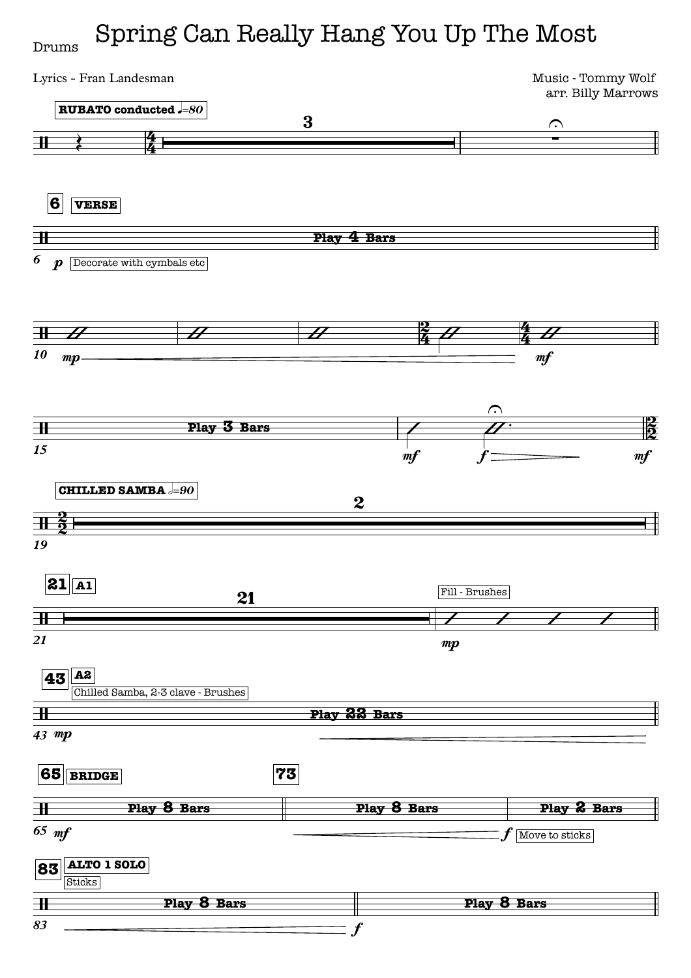## Spring Can Really Hang You Up The Most